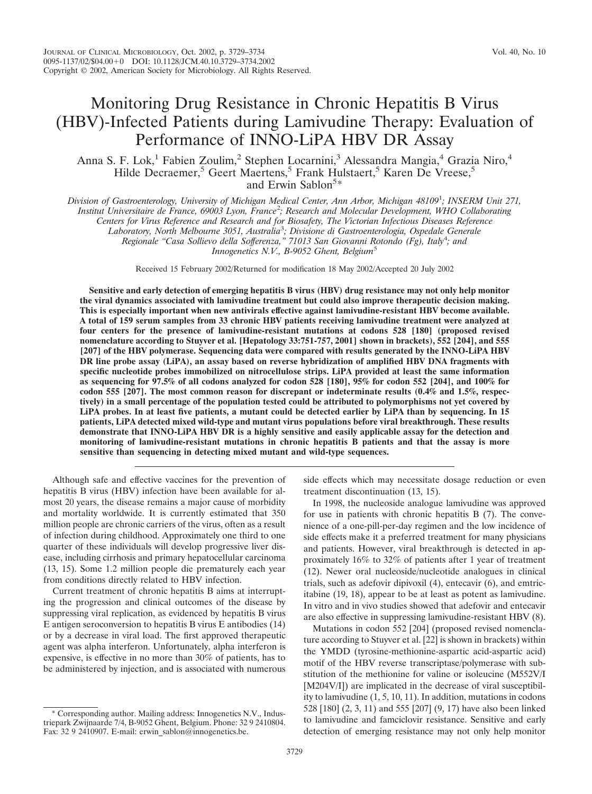Anna S. F. Lok,<sup>1</sup> Fabien Zoulim,<sup>2</sup> Stephen Locarnini,<sup>3</sup> Alessandra Mangia,<sup>4</sup> Grazia Niro,<sup>4</sup> Hilde Decraemer,<sup>5</sup> Geert Maertens,<sup>5</sup> Frank Hulstaert,<sup>5</sup> Karen De Vreese,<sup>5</sup> and Erwin Sablon<sup>5\*</sup>

*Division of Gastroenterology, University of Michigan Medical Center, Ann Arbor, Michigan 48109*<sup>1</sup> *; INSERM Unit 271, Institut Universitaire de France, 69003 Lyon, France*<sup>2</sup> *; Research and Molecular Development, WHO Collaborating Centers for Virus Reference and Research and for Biosafety, The Victorian Infectious Diseases Reference Laboratory, North Melbourne 3051, Australia*<sup>3</sup> *; Divisione di Gastroenterologia, Ospedale Generale Regionale "Casa Sollievo della Sofferenza," 71013 San Giovanni Rotondo (Fg), Italy*<sup>4</sup> *; and Innogenetics N.V., B-9052 Ghent, Belgium<sup>5</sup>* 

Received 15 February 2002/Returned for modification 18 May 2002/Accepted 20 July 2002

**Sensitive and early detection of emerging hepatitis B virus (HBV) drug resistance may not only help monitor the viral dynamics associated with lamivudine treatment but could also improve therapeutic decision making. This is especially important when new antivirals effective against lamivudine-resistant HBV become available. A total of 159 serum samples from 33 chronic HBV patients receiving lamivudine treatment were analyzed at four centers for the presence of lamivudine-resistant mutations at codons 528 [180] (proposed revised nomenclature according to Stuyver et al. [Hepatology 33:751-757, 2001] shown in brackets), 552 [204], and 555 [207] of the HBV polymerase. Sequencing data were compared with results generated by the INNO-LiPA HBV DR line probe assay (LiPA), an assay based on reverse hybridization of amplified HBV DNA fragments with specific nucleotide probes immobilized on nitrocellulose strips. LiPA provided at least the same information as sequencing for 97.5% of all codons analyzed for codon 528 [180], 95% for codon 552 [204], and 100% for codon 555 [207]. The most common reason for discrepant or indeterminate results (0.4% and 1.5%, respectively) in a small percentage of the population tested could be attributed to polymorphisms not yet covered by LiPA probes. In at least five patients, a mutant could be detected earlier by LiPA than by sequencing. In 15 patients, LiPA detected mixed wild-type and mutant virus populations before viral breakthrough. These results demonstrate that INNO-LiPA HBV DR is a highly sensitive and easily applicable assay for the detection and monitoring of lamivudine-resistant mutations in chronic hepatitis B patients and that the assay is more sensitive than sequencing in detecting mixed mutant and wild-type sequences.**

Although safe and effective vaccines for the prevention of hepatitis B virus (HBV) infection have been available for almost 20 years, the disease remains a major cause of morbidity and mortality worldwide. It is currently estimated that 350 million people are chronic carriers of the virus, often as a result of infection during childhood. Approximately one third to one quarter of these individuals will develop progressive liver disease, including cirrhosis and primary hepatocellular carcinoma (13, 15). Some 1.2 million people die prematurely each year from conditions directly related to HBV infection.

Current treatment of chronic hepatitis B aims at interrupting the progression and clinical outcomes of the disease by suppressing viral replication, as evidenced by hepatitis B virus E antigen seroconversion to hepatitis B virus E antibodies (14) or by a decrease in viral load. The first approved therapeutic agent was alpha interferon. Unfortunately, alpha interferon is expensive, is effective in no more than 30% of patients, has to be administered by injection, and is associated with numerous

Corresponding author. Mailing address: Innogenetics N.V., Industriepark Zwijnaarde 7/4, B-9052 Ghent, Belgium. Phone: 32 9 2410804. Fax: 32 9 2410907. E-mail: erwin\_sablon@innogenetics.be.

side effects which may necessitate dosage reduction or even treatment discontinuation (13, 15).

In 1998, the nucleoside analogue lamivudine was approved for use in patients with chronic hepatitis B (7). The convenience of a one-pill-per-day regimen and the low incidence of side effects make it a preferred treatment for many physicians and patients. However, viral breakthrough is detected in approximately 16% to 32% of patients after 1 year of treatment (12). Newer oral nucleoside/nucleotide analogues in clinical trials, such as adefovir dipivoxil (4), entecavir (6), and emtricitabine (19, 18), appear to be at least as potent as lamivudine. In vitro and in vivo studies showed that adefovir and entecavir are also effective in suppressing lamivudine-resistant HBV (8).

Mutations in codon 552 [204] (proposed revised nomenclature according to Stuyver et al. [22] is shown in brackets) within the YMDD (tyrosine-methionine-aspartic acid-aspartic acid) motif of the HBV reverse transcriptase/polymerase with substitution of the methionine for valine or isoleucine (M552V/I [M204V/I]) are implicated in the decrease of viral susceptibility to lamivudine (1, 5, 10, 11). In addition, mutations in codons 528 [180] (2, 3, 11) and 555 [207] (9, 17) have also been linked to lamivudine and famciclovir resistance. Sensitive and early detection of emerging resistance may not only help monitor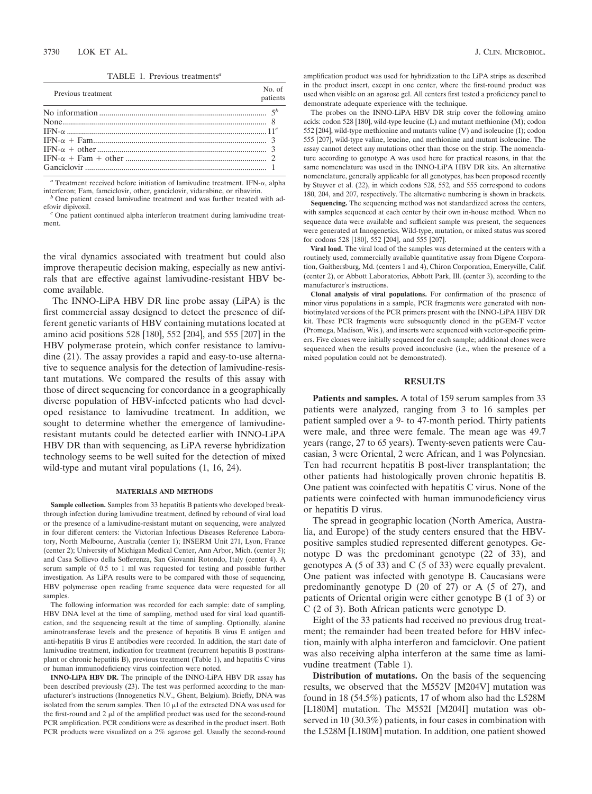TABLE 1. Previous treatments*<sup>a</sup>*

| Previous treatment         | No of<br>patients |
|----------------------------|-------------------|
|                            |                   |
|                            |                   |
|                            |                   |
| $IFN-\alpha + Fam$ (3)     |                   |
|                            |                   |
| $IFN-\alpha + Fam + other$ |                   |
|                            |                   |
|                            |                   |

<sup>*a*</sup> Treatment received before initiation of lamivudine treatment. IFN- $\alpha$ , alpha interferon: Fam. famciclovir. other. ganciclovir. vidarabine. or ribavirin.

One patient ceased lamivudine treatment and was further treated with adefovir dipivoxil. *<sup>c</sup>* One patient continued alpha interferon treatment during lamivudine treat-

ment.

the viral dynamics associated with treatment but could also improve therapeutic decision making, especially as new antivirals that are effective against lamivudine-resistant HBV become available.

The INNO-LiPA HBV DR line probe assay (LiPA) is the first commercial assay designed to detect the presence of different genetic variants of HBV containing mutations located at amino acid positions 528 [180], 552 [204], and 555 [207] in the HBV polymerase protein, which confer resistance to lamivudine (21). The assay provides a rapid and easy-to-use alternative to sequence analysis for the detection of lamivudine-resistant mutations. We compared the results of this assay with those of direct sequencing for concordance in a geographically diverse population of HBV-infected patients who had developed resistance to lamivudine treatment. In addition, we sought to determine whether the emergence of lamivudineresistant mutants could be detected earlier with INNO-LiPA HBV DR than with sequencing, as LiPA reverse hybridization technology seems to be well suited for the detection of mixed wild-type and mutant viral populations (1, 16, 24).

### **MATERIALS AND METHODS**

**Sample collection.** Samples from 33 hepatitis B patients who developed breakthrough infection during lamivudine treatment, defined by rebound of viral load or the presence of a lamivudine-resistant mutant on sequencing, were analyzed in four different centers: the Victorian Infectious Diseases Reference Laboratory, North Melbourne, Australia (center 1); INSERM Unit 271, Lyon, France (center 2); University of Michigan Medical Center, Ann Arbor, Mich. (center 3); and Casa Sollievo della Sofferenza, San Giovanni Rotondo, Italy (center 4). A serum sample of 0.5 to 1 ml was requested for testing and possible further investigation. As LiPA results were to be compared with those of sequencing, HBV polymerase open reading frame sequence data were requested for all samples.

The following information was recorded for each sample: date of sampling, HBV DNA level at the time of sampling, method used for viral load quantification, and the sequencing result at the time of sampling. Optionally, alanine aminotransferase levels and the presence of hepatitis B virus E antigen and anti-hepatitis B virus E antibodies were recorded. In addition, the start date of lamivudine treatment, indication for treatment (recurrent hepatitis B posttransplant or chronic hepatitis B), previous treatment (Table 1), and hepatitis C virus or human immunodeficiency virus coinfection were noted.

**INNO-LiPA HBV DR.** The principle of the INNO-LiPA HBV DR assay has been described previously (23). The test was performed according to the manufacturer's instructions (Innogenetics N.V., Ghent, Belgium). Briefly, DNA was isolated from the serum samples. Then  $10 \mu$  of the extracted DNA was used for the first-round and  $2 \mu$  of the amplified product was used for the second-round PCR amplification. PCR conditions were as described in the product insert. Both PCR products were visualized on a 2% agarose gel. Usually the second-round amplification product was used for hybridization to the LiPA strips as described in the product insert, except in one center, where the first-round product was used when visible on an agarose gel. All centers first tested a proficiency panel to demonstrate adequate experience with the technique.

The probes on the INNO-LiPA HBV DR strip cover the following amino acids: codon 528 [180], wild-type leucine (L) and mutant methionine (M); codon 552 [204], wild-type methionine and mutants valine (V) and isoleucine (I); codon 555 [207], wild-type valine, leucine, and methionine and mutant isoleucine. The assay cannot detect any mutations other than those on the strip. The nomenclature according to genotype A was used here for practical reasons, in that the same nomenclature was used in the INNO-LiPA HBV DR kits. An alternative nomenclature, generally applicable for all genotypes, has been proposed recently by Stuyver et al. (22), in which codons 528, 552, and 555 correspond to codons 180, 204, and 207, respectively. The alternative numbering is shown in brackets.

**Sequencing.** The sequencing method was not standardized across the centers, with samples sequenced at each center by their own in-house method. When no sequence data were available and sufficient sample was present, the sequences were generated at Innogenetics. Wild-type, mutation, or mixed status was scored for codons 528 [180], 552 [204], and 555 [207].

**Viral load.** The viral load of the samples was determined at the centers with a routinely used, commercially available quantitative assay from Digene Corporation, Gaithersburg, Md. (centers 1 and 4), Chiron Corporation, Emeryville, Calif. (center 2), or Abbott Laboratories, Abbott Park, Ill. (center 3), according to the manufacturer's instructions.

**Clonal analysis of viral populations.** For confirmation of the presence of minor virus populations in a sample, PCR fragments were generated with nonbiotinylated versions of the PCR primers present with the INNO-LiPA HBV DR kit. These PCR fragments were subsequently cloned in the pGEM-T vector (Promega, Madison, Wis.), and inserts were sequenced with vector-specific primers. Five clones were initially sequenced for each sample; additional clones were sequenced when the results proved inconclusive (i.e., when the presence of a mixed population could not be demonstrated).

## **RESULTS**

**Patients and samples.** A total of 159 serum samples from 33 patients were analyzed, ranging from 3 to 16 samples per patient sampled over a 9- to 47-month period. Thirty patients were male, and three were female. The mean age was 49.7 years (range, 27 to 65 years). Twenty-seven patients were Caucasian, 3 were Oriental, 2 were African, and 1 was Polynesian. Ten had recurrent hepatitis B post-liver transplantation; the other patients had histologically proven chronic hepatitis B. One patient was coinfected with hepatitis C virus. None of the patients were coinfected with human immunodeficiency virus or hepatitis D virus.

The spread in geographic location (North America, Australia, and Europe) of the study centers ensured that the HBVpositive samples studied represented different genotypes. Genotype D was the predominant genotype (22 of 33), and genotypes A (5 of 33) and C (5 of 33) were equally prevalent. One patient was infected with genotype B. Caucasians were predominantly genotype D (20 of 27) or A (5 of 27), and patients of Oriental origin were either genotype B (1 of 3) or C (2 of 3). Both African patients were genotype D.

Eight of the 33 patients had received no previous drug treatment; the remainder had been treated before for HBV infection, mainly with alpha interferon and famciclovir. One patient was also receiving alpha interferon at the same time as lamivudine treatment (Table 1).

**Distribution of mutations.** On the basis of the sequencing results, we observed that the M552V [M204V] mutation was found in 18 (54.5%) patients, 17 of whom also had the L528M [L180M] mutation. The M552I [M204I] mutation was observed in 10 (30.3%) patients, in four cases in combination with the L528M [L180M] mutation. In addition, one patient showed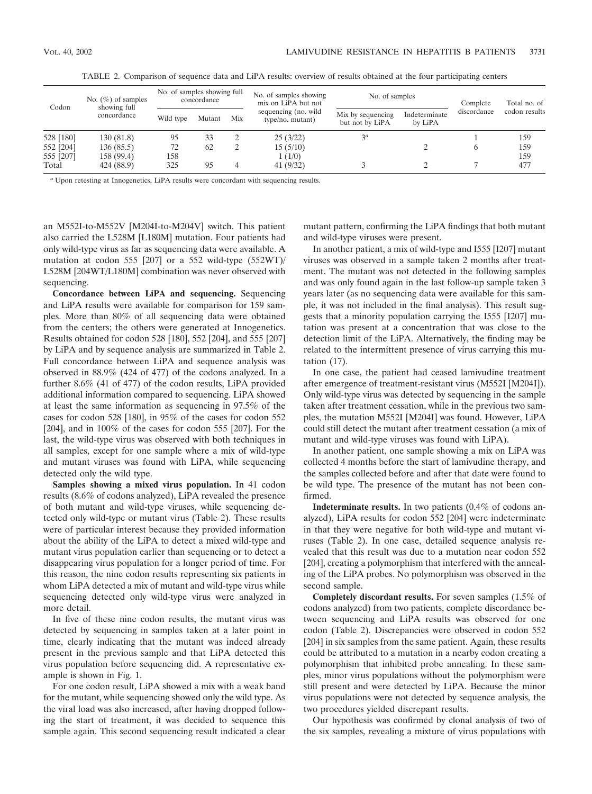| Codon                               | No. $(\%)$ of samples<br>showing full<br>concordance | No. of samples showing full<br>concordance |          | No. of samples showing<br>mix on LiPA but not | No. of samples                           |                                      | Complete                 | Total no. of |                   |
|-------------------------------------|------------------------------------------------------|--------------------------------------------|----------|-----------------------------------------------|------------------------------------------|--------------------------------------|--------------------------|--------------|-------------------|
|                                     |                                                      | Wild type                                  | Mutant   | Mix                                           | sequencing (no. wild<br>type/no. mutant) | Mix by sequencing<br>but not by LiPA | Indeterminate<br>by LiPA | discordance  | codon results     |
| 528 [180]<br>552 [204]<br>555 [207] | 130 (81.8)<br>136(85.5)<br>158 (99.4)                | 95<br>72<br>158                            | 33<br>62 |                                               | 25(3/22)<br>15(5/10)<br>1(1/0)           | $3^a$                                |                          |              | 159<br>159<br>159 |
| Total                               | 424 (88.9)                                           | 325                                        | 95       |                                               | 41 $(9/32)$                              |                                      |                          |              | 477               |

TABLE 2. Comparison of sequence data and LiPA results: overview of results obtained at the four participating centers

*<sup>a</sup>* Upon retesting at Innogenetics, LiPA results were concordant with sequencing results.

an M552I-to-M552V [M204I-to-M204V] switch. This patient also carried the L528M [L180M] mutation. Four patients had only wild-type virus as far as sequencing data were available. A mutation at codon 555 [207] or a 552 wild-type (552WT)/ L528M [204WT/L180M] combination was never observed with sequencing.

**Concordance between LiPA and sequencing.** Sequencing and LiPA results were available for comparison for 159 samples. More than 80% of all sequencing data were obtained from the centers; the others were generated at Innogenetics. Results obtained for codon 528 [180], 552 [204], and 555 [207] by LiPA and by sequence analysis are summarized in Table 2. Full concordance between LiPA and sequence analysis was observed in 88.9% (424 of 477) of the codons analyzed. In a further 8.6% (41 of 477) of the codon results, LiPA provided additional information compared to sequencing. LiPA showed at least the same information as sequencing in 97.5% of the cases for codon 528 [180], in 95% of the cases for codon 552 [204], and in 100% of the cases for codon 555 [207]. For the last, the wild-type virus was observed with both techniques in all samples, except for one sample where a mix of wild-type and mutant viruses was found with LiPA, while sequencing detected only the wild type.

**Samples showing a mixed virus population.** In 41 codon results (8.6% of codons analyzed), LiPA revealed the presence of both mutant and wild-type viruses, while sequencing detected only wild-type or mutant virus (Table 2). These results were of particular interest because they provided information about the ability of the LiPA to detect a mixed wild-type and mutant virus population earlier than sequencing or to detect a disappearing virus population for a longer period of time. For this reason, the nine codon results representing six patients in whom LiPA detected a mix of mutant and wild-type virus while sequencing detected only wild-type virus were analyzed in more detail.

In five of these nine codon results, the mutant virus was detected by sequencing in samples taken at a later point in time, clearly indicating that the mutant was indeed already present in the previous sample and that LiPA detected this virus population before sequencing did. A representative example is shown in Fig. 1.

For one codon result, LiPA showed a mix with a weak band for the mutant, while sequencing showed only the wild type. As the viral load was also increased, after having dropped following the start of treatment, it was decided to sequence this sample again. This second sequencing result indicated a clear mutant pattern, confirming the LiPA findings that both mutant and wild-type viruses were present.

In another patient, a mix of wild-type and I555 [I207] mutant viruses was observed in a sample taken 2 months after treatment. The mutant was not detected in the following samples and was only found again in the last follow-up sample taken 3 years later (as no sequencing data were available for this sample, it was not included in the final analysis). This result suggests that a minority population carrying the I555 [I207] mutation was present at a concentration that was close to the detection limit of the LiPA. Alternatively, the finding may be related to the intermittent presence of virus carrying this mutation (17).

In one case, the patient had ceased lamivudine treatment after emergence of treatment-resistant virus (M552I [M204I]). Only wild-type virus was detected by sequencing in the sample taken after treatment cessation, while in the previous two samples, the mutation M552I [M204I] was found. However, LiPA could still detect the mutant after treatment cessation (a mix of mutant and wild-type viruses was found with LiPA).

In another patient, one sample showing a mix on LiPA was collected 4 months before the start of lamivudine therapy, and the samples collected before and after that date were found to be wild type. The presence of the mutant has not been confirmed.

**Indeterminate results.** In two patients (0.4% of codons analyzed), LiPA results for codon 552 [204] were indeterminate in that they were negative for both wild-type and mutant viruses (Table 2). In one case, detailed sequence analysis revealed that this result was due to a mutation near codon 552 [204], creating a polymorphism that interfered with the annealing of the LiPA probes. No polymorphism was observed in the second sample.

**Completely discordant results.** For seven samples (1.5% of codons analyzed) from two patients, complete discordance between sequencing and LiPA results was observed for one codon (Table 2). Discrepancies were observed in codon 552 [204] in six samples from the same patient. Again, these results could be attributed to a mutation in a nearby codon creating a polymorphism that inhibited probe annealing. In these samples, minor virus populations without the polymorphism were still present and were detected by LiPA. Because the minor virus populations were not detected by sequence analysis, the two procedures yielded discrepant results.

Our hypothesis was confirmed by clonal analysis of two of the six samples, revealing a mixture of virus populations with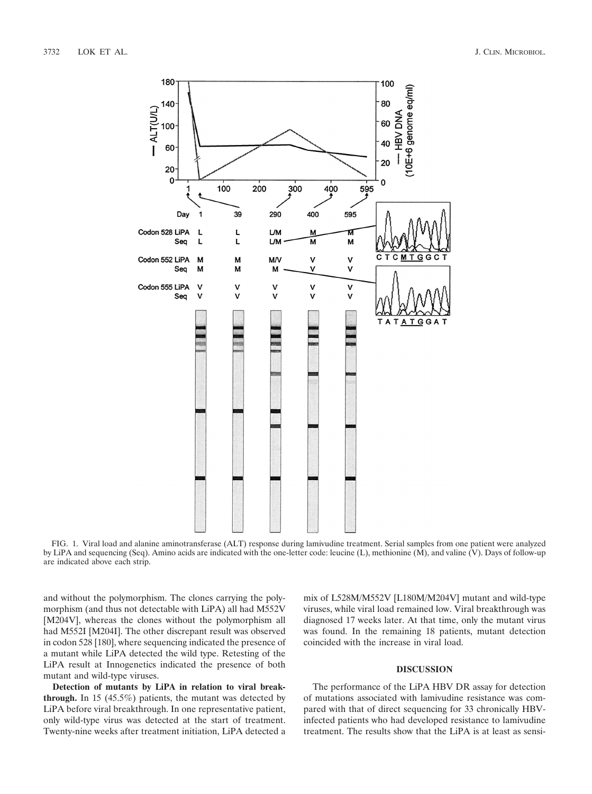

FIG. 1. Viral load and alanine aminotransferase (ALT) response during lamivudine treatment. Serial samples from one patient were analyzed by LiPA and sequencing (Seq). Amino acids are indicated with the one-letter code: leucine (L), methionine (M), and valine (V). Days of follow-up are indicated above each strip.

and without the polymorphism. The clones carrying the polymorphism (and thus not detectable with LiPA) all had M552V [M204V], whereas the clones without the polymorphism all had M552I [M204I]. The other discrepant result was observed in codon 528 [180], where sequencing indicated the presence of a mutant while LiPA detected the wild type. Retesting of the LiPA result at Innogenetics indicated the presence of both mutant and wild-type viruses.

**Detection of mutants by LiPA in relation to viral breakthrough.** In 15 (45.5%) patients, the mutant was detected by LiPA before viral breakthrough. In one representative patient, only wild-type virus was detected at the start of treatment. Twenty-nine weeks after treatment initiation, LiPA detected a

mix of L528M/M552V [L180M/M204V] mutant and wild-type viruses, while viral load remained low. Viral breakthrough was diagnosed 17 weeks later. At that time, only the mutant virus was found. In the remaining 18 patients, mutant detection coincided with the increase in viral load.

# **DISCUSSION**

The performance of the LiPA HBV DR assay for detection of mutations associated with lamivudine resistance was compared with that of direct sequencing for 33 chronically HBVinfected patients who had developed resistance to lamivudine treatment. The results show that the LiPA is at least as sensi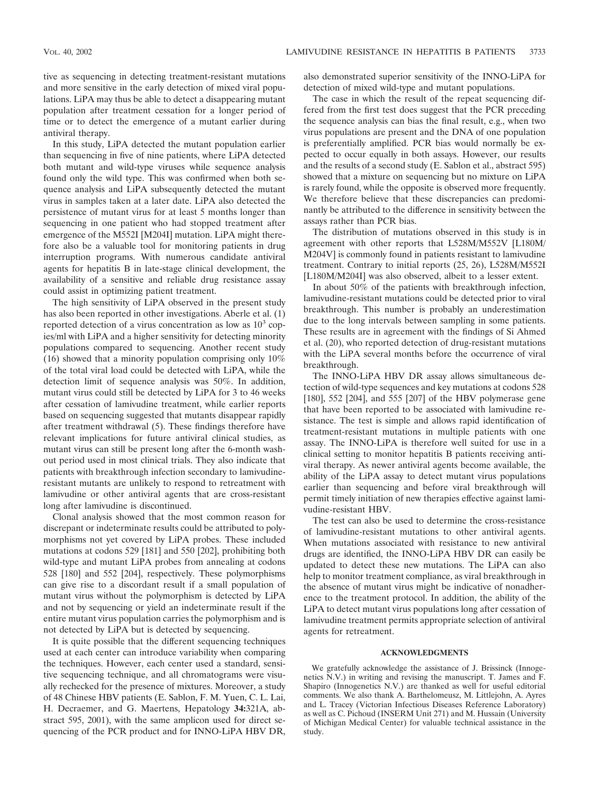tive as sequencing in detecting treatment-resistant mutations and more sensitive in the early detection of mixed viral populations. LiPA may thus be able to detect a disappearing mutant population after treatment cessation for a longer period of time or to detect the emergence of a mutant earlier during antiviral therapy.

In this study, LiPA detected the mutant population earlier than sequencing in five of nine patients, where LiPA detected both mutant and wild-type viruses while sequence analysis found only the wild type. This was confirmed when both sequence analysis and LiPA subsequently detected the mutant virus in samples taken at a later date. LiPA also detected the persistence of mutant virus for at least 5 months longer than sequencing in one patient who had stopped treatment after emergence of the M552I [M204I] mutation. LiPA might therefore also be a valuable tool for monitoring patients in drug interruption programs. With numerous candidate antiviral agents for hepatitis B in late-stage clinical development, the availability of a sensitive and reliable drug resistance assay could assist in optimizing patient treatment.

The high sensitivity of LiPA observed in the present study has also been reported in other investigations. Aberle et al. (1) reported detection of a virus concentration as low as  $10<sup>3</sup>$  copies/ml with LiPA and a higher sensitivity for detecting minority populations compared to sequencing. Another recent study (16) showed that a minority population comprising only 10% of the total viral load could be detected with LiPA, while the detection limit of sequence analysis was 50%. In addition, mutant virus could still be detected by LiPA for 3 to 46 weeks after cessation of lamivudine treatment, while earlier reports based on sequencing suggested that mutants disappear rapidly after treatment withdrawal (5). These findings therefore have relevant implications for future antiviral clinical studies, as mutant virus can still be present long after the 6-month washout period used in most clinical trials. They also indicate that patients with breakthrough infection secondary to lamivudineresistant mutants are unlikely to respond to retreatment with lamivudine or other antiviral agents that are cross-resistant long after lamivudine is discontinued.

Clonal analysis showed that the most common reason for discrepant or indeterminate results could be attributed to polymorphisms not yet covered by LiPA probes. These included mutations at codons 529 [181] and 550 [202], prohibiting both wild-type and mutant LiPA probes from annealing at codons 528 [180] and 552 [204], respectively. These polymorphisms can give rise to a discordant result if a small population of mutant virus without the polymorphism is detected by LiPA and not by sequencing or yield an indeterminate result if the entire mutant virus population carries the polymorphism and is not detected by LiPA but is detected by sequencing.

It is quite possible that the different sequencing techniques used at each center can introduce variability when comparing the techniques. However, each center used a standard, sensitive sequencing technique, and all chromatograms were visually rechecked for the presence of mixtures. Moreover, a study of 48 Chinese HBV patients (E. Sablon, F. M. Yuen, C. L. Lai, H. Decraemer, and G. Maertens, Hepatology **34:**321A, abstract 595, 2001), with the same amplicon used for direct sequencing of the PCR product and for INNO-LiPA HBV DR, also demonstrated superior sensitivity of the INNO-LiPA for detection of mixed wild-type and mutant populations.

The case in which the result of the repeat sequencing differed from the first test does suggest that the PCR preceding the sequence analysis can bias the final result, e.g., when two virus populations are present and the DNA of one population is preferentially amplified. PCR bias would normally be expected to occur equally in both assays. However, our results and the results of a second study (E. Sablon et al., abstract 595) showed that a mixture on sequencing but no mixture on LiPA is rarely found, while the opposite is observed more frequently. We therefore believe that these discrepancies can predominantly be attributed to the difference in sensitivity between the assays rather than PCR bias.

The distribution of mutations observed in this study is in agreement with other reports that L528M/M552V [L180M/ M204V] is commonly found in patients resistant to lamivudine treatment. Contrary to initial reports (25, 26), L528M/M552I [L180M/M204I] was also observed, albeit to a lesser extent.

In about 50% of the patients with breakthrough infection, lamivudine-resistant mutations could be detected prior to viral breakthrough. This number is probably an underestimation due to the long intervals between sampling in some patients. These results are in agreement with the findings of Si Ahmed et al. (20), who reported detection of drug-resistant mutations with the LiPA several months before the occurrence of viral breakthrough.

The INNO-LiPA HBV DR assay allows simultaneous detection of wild-type sequences and key mutations at codons 528 [180], 552 [204], and 555 [207] of the HBV polymerase gene that have been reported to be associated with lamivudine resistance. The test is simple and allows rapid identification of treatment-resistant mutations in multiple patients with one assay. The INNO-LiPA is therefore well suited for use in a clinical setting to monitor hepatitis B patients receiving antiviral therapy. As newer antiviral agents become available, the ability of the LiPA assay to detect mutant virus populations earlier than sequencing and before viral breakthrough will permit timely initiation of new therapies effective against lamivudine-resistant HBV.

The test can also be used to determine the cross-resistance of lamivudine-resistant mutations to other antiviral agents. When mutations associated with resistance to new antiviral drugs are identified, the INNO-LiPA HBV DR can easily be updated to detect these new mutations. The LiPA can also help to monitor treatment compliance, as viral breakthrough in the absence of mutant virus might be indicative of nonadherence to the treatment protocol. In addition, the ability of the LiPA to detect mutant virus populations long after cessation of lamivudine treatment permits appropriate selection of antiviral agents for retreatment.

## **ACKNOWLEDGMENTS**

We gratefully acknowledge the assistance of J. Brissinck (Innogenetics N.V.) in writing and revising the manuscript. T. James and F. Shapiro (Innogenetics N.V.) are thanked as well for useful editorial comments. We also thank A. Barthelomeusz, M. Littlejohn, A. Ayres and L. Tracey (Victorian Infectious Diseases Reference Laboratory) as well as C. Pichoud (INSERM Unit 271) and M. Hussain (University of Michigan Medical Center) for valuable technical assistance in the study.